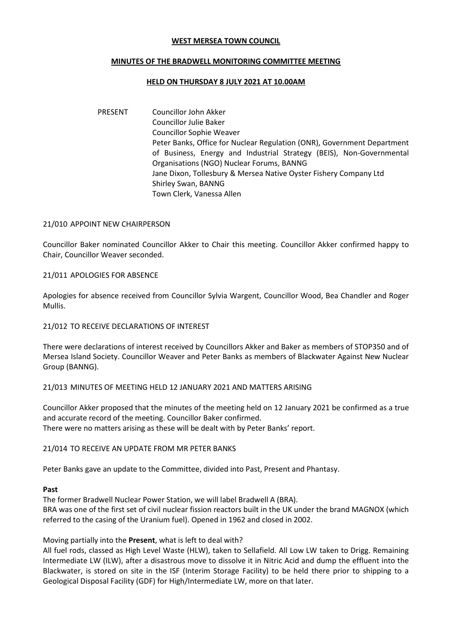## **WEST MERSEA TOWN COUNCIL**

# **MINUTES OF THE BRADWELL MONITORING COMMITTEE MEETING**

#### **HELD ON THURSDAY 8 JULY 2021 AT 10.00AM**

PRESENT Councillor John Akker Councillor Julie Baker Councillor Sophie Weaver Peter Banks, Office for Nuclear Regulation (ONR), Government Department of Business, Energy and Industrial Strategy (BEIS), Non-Governmental Organisations (NGO) Nuclear Forums, BANNG Jane Dixon, Tollesbury & Mersea Native Oyster Fishery Company Ltd Shirley Swan, BANNG Town Clerk, Vanessa Allen

## 21/010 APPOINT NEW CHAIRPERSON

Councillor Baker nominated Councillor Akker to Chair this meeting. Councillor Akker confirmed happy to Chair, Councillor Weaver seconded.

## 21/011 APOLOGIES FOR ABSENCE

Apologies for absence received from Councillor Sylvia Wargent, Councillor Wood, Bea Chandler and Roger Mullis.

# 21/012 TO RECEIVE DECLARATIONS OF INTEREST

There were declarations of interest received by Councillors Akker and Baker as members of STOP350 and of Mersea Island Society. Councillor Weaver and Peter Banks as members of Blackwater Against New Nuclear Group (BANNG).

#### 21/013 MINUTES OF MEETING HELD 12 JANUARY 2021 AND MATTERS ARISING

Councillor Akker proposed that the minutes of the meeting held on 12 January 2021 be confirmed as a true and accurate record of the meeting. Councillor Baker confirmed. There were no matters arising as these will be dealt with by Peter Banks' report.

#### 21/014 TO RECEIVE AN UPDATE FROM MR PETER BANKS

Peter Banks gave an update to the Committee, divided into Past, Present and Phantasy.

#### **Past**

The former Bradwell Nuclear Power Station, we will label Bradwell A (BRA). BRA was one of the first set of civil nuclear fission reactors built in the UK under the brand MAGNOX (which referred to the casing of the Uranium fuel). Opened in 1962 and closed in 2002.

Moving partially into the **Present**, what is left to deal with?

All fuel rods, classed as High Level Waste (HLW), taken to Sellafield. All Low LW taken to Drigg. Remaining Intermediate LW (ILW), after a disastrous move to dissolve it in Nitric Acid and dump the effluent into the Blackwater, is stored on site in the ISF (Interim Storage Facility) to be held there prior to shipping to a Geological Disposal Facility (GDF) for High/Intermediate LW, more on that later.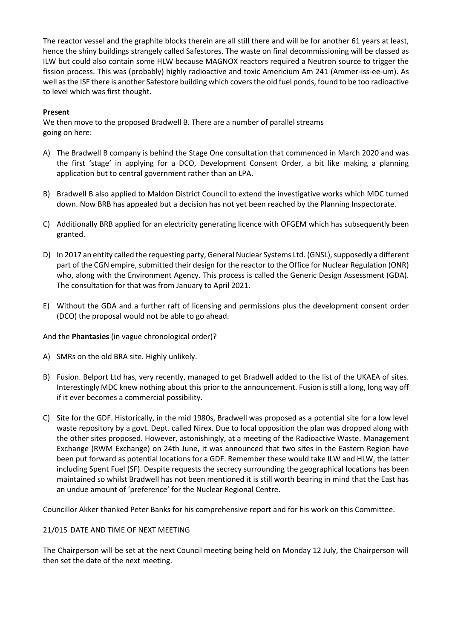The reactor vessel and the graphite blocks therein are all still there and will be for another 61 years at least, hence the shiny buildings strangely called Safestores. The waste on final decommissioning will be classed as ILW but could also contain some HLW because MAGNOX reactors required a Neutron source to trigger the fission process. This was (probably) highly radioactive and toxic Americium Am 241 (Ammer-iss-ee-um). As well as the ISF there is another Safestore building which covers the old fuel ponds, found to be too radioactive to level which was first thought.

# **Present**

We then move to the proposed Bradwell B. There are a number of parallel streams going on here:

- A) The Bradwell B company is behind the Stage One consultation that commenced in March 2020 and was the first 'stage' in applying for a DCO, Development Consent Order, a bit like making a planning application but to central government rather than an LPA.
- B) Bradwell B also applied to Maldon District Council to extend the investigative works which MDC turned down. Now BRB has appealed but a decision has not yet been reached by the Planning Inspectorate.
- C) Additionally BRB applied for an electricity generating licence with OFGEM which has subsequently been granted.
- D) In 2017 an entity called the requesting party, General Nuclear Systems Ltd. (GNSL), supposedly a different part of the CGN empire, submitted their design for the reactor to the Office for Nuclear Regulation (ONR) who, along with the Environment Agency. This process is called the Generic Design Assessment (GDA). The consultation for that was from January to April 2021.
- E) Without the GDA and a further raft of licensing and permissions plus the development consent order (DCO) the proposal would not be able to go ahead.

And the **Phantasies** (in vague chronological order)?

- A) SMRs on the old BRA site. Highly unlikely.
- B) Fusion. Belport Ltd has, very recently, managed to get Bradwell added to the list of the UKAEA of sites. Interestingly MDC knew nothing about this prior to the announcement. Fusion is still a long, long way off if it ever becomes a commercial possibility.
- C) Site for the GDF. Historically, in the mid 1980s, Bradwell was proposed as a potential site for a low level waste repository by a govt. Dept. called Nirex. Due to local opposition the plan was dropped along with the other sites proposed. However, astonishingly, at a meeting of the Radioactive Waste. Management Exchange (RWM Exchange) on 24th June, it was announced that two sites in the Eastern Region have been put forward as potential locations for a GDF. Remember these would take ILW and HLW, the latter including Spent Fuel (SF). Despite requests the secrecy surrounding the geographical locations has been maintained so whilst Bradwell has not been mentioned it is still worth bearing in mind that the East has an undue amount of 'preference' for the Nuclear Regional Centre.

Councillor Akker thanked Peter Banks for his comprehensive report and for his work on this Committee.

# 21/015 DATE AND TIME OF NEXT MEETING

The Chairperson will be set at the next Council meeting being held on Monday 12 July, the Chairperson will then set the date of the next meeting.